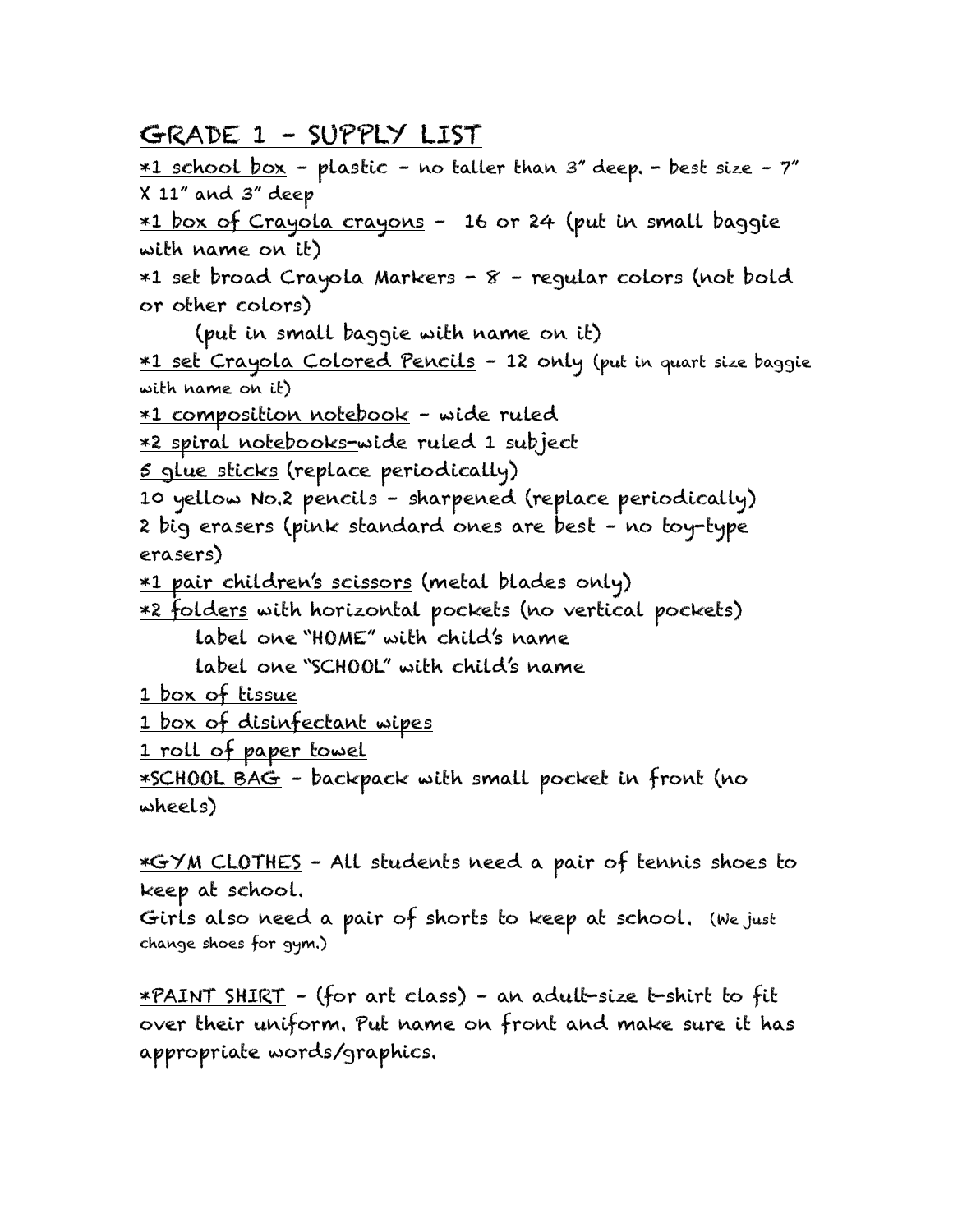## GRADE 1 – SUPPLY LIST

 $*1$  school box - plastic - no taller than  $3''$  deep. - best size -  $7''$ X 11" and 3" deep

\*1 box of Crayola crayons – 16 or 24 (put in small baggie with name on it)

\*1 set broad Crayola Markers - 8 – regular colors (not bold or other colors)

(put in small baggie with name on it)

\*1 set Crayola Colored Pencils – 12 only (put in quart size baggie with name on it)

\*1 composition notebook – wide ruled

\*2 spiral notebooks-wide ruled 1 subject

5 glue sticks (replace periodically)

10 yellow No.2 pencils – sharpened (replace periodically) 2 big erasers (pink standard ones are best – no toy-type erasers)

\*1 pair children's scissors (metal blades only)

\*2 folders with horizontal pockets (no vertical pockets) label one "HOME" with child's name

label one "SCHOOL" with child's name

1 box of tissue

1 box of disinfectant wipes

1 roll of paper towel

\*SCHOOL BAG – backpack with small pocket in front (no wheels)

\*GYM CLOTHES – All students need a pair of tennis shoes to keep at school.

Girls also need a pair of shorts to keep at school. (We just change shoes for gym.)

\*PAINT SHIRT – (for art class) – an adult-size t-shirt to fit over their uniform. Put name on front and make sure it has appropriate words/graphics.